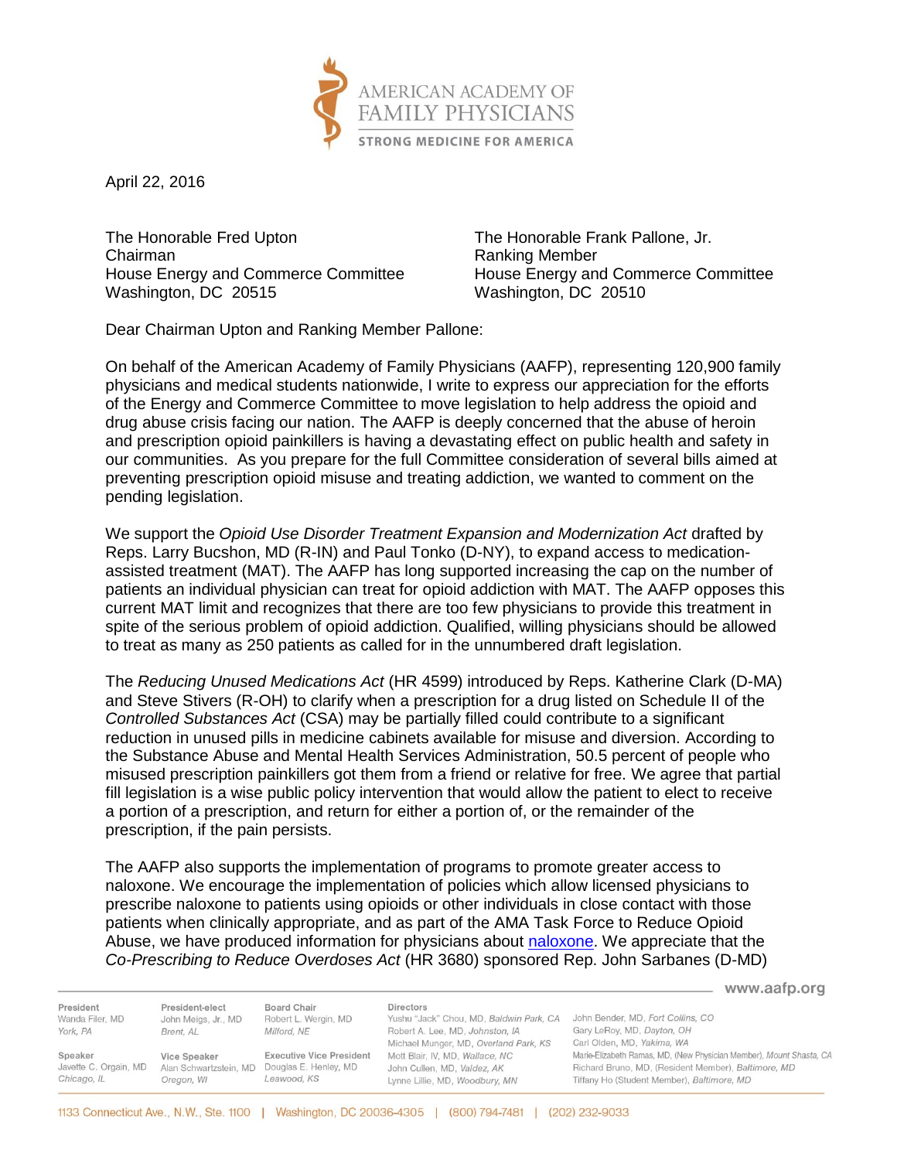

April 22, 2016

The Honorable Fred Upton The Honorable Frank Pallone, Jr. Chairman **Chairman** Ranking Member House Energy and Commerce Committee House Energy and Commerce Committee Washington, DC 20515 Washington, DC 20510

Dear Chairman Upton and Ranking Member Pallone:

On behalf of the American Academy of Family Physicians (AAFP), representing 120,900 family physicians and medical students nationwide, I write to express our appreciation for the efforts of the Energy and Commerce Committee to move legislation to help address the opioid and drug abuse crisis facing our nation. The AAFP is deeply concerned that the abuse of heroin and prescription opioid painkillers is having a devastating effect on public health and safety in our communities. As you prepare for the full Committee consideration of several bills aimed at preventing prescription opioid misuse and treating addiction, we wanted to comment on the pending legislation.

We support the *Opioid Use Disorder Treatment Expansion and Modernization Act* drafted by Reps. Larry Bucshon, MD (R-IN) and Paul Tonko (D-NY), to expand access to medicationassisted treatment (MAT). The AAFP has long supported increasing the cap on the number of patients an individual physician can treat for opioid addiction with MAT. The AAFP opposes this current MAT limit and recognizes that there are too few physicians to provide this treatment in spite of the serious problem of opioid addiction. Qualified, willing physicians should be allowed to treat as many as 250 patients as called for in the unnumbered draft legislation.

The *Reducing Unused Medications Act* (HR 4599) introduced by Reps. Katherine Clark (D-MA) and Steve Stivers (R-OH) to clarify when a prescription for a drug listed on Schedule II of the *Controlled Substances Act* (CSA) may be partially filled could contribute to a significant reduction in unused pills in medicine cabinets available for misuse and diversion. According to the Substance Abuse and Mental Health Services Administration, 50.5 percent of people who misused prescription painkillers got them from a friend or relative for free. We agree that partial fill legislation is a wise public policy intervention that would allow the patient to elect to receive a portion of a prescription, and return for either a portion of, or the remainder of the prescription, if the pain persists.

The AAFP also supports the implementation of programs to promote greater access to naloxone. We encourage the implementation of policies which allow licensed physicians to prescribe naloxone to patients using opioids or other individuals in close contact with those patients when clinically appropriate, and as part of the AMA Task Force to Reduce Opioid Abuse, we have produced information for physicians about [naloxone.](http://www.aafp.org/dam/AAFP/documents/patient_care/pain_management/co-branded-naloxone.pdf) We appreciate that the *Co-Prescribing to Reduce Overdoses Act* (HR 3680) sponsored Rep. John Sarbanes (D-MD)

www.aafp.org President-elect Board Chair Directors President Yushu "Jack" Chou, MD, Baldwin Park, CA John Bender, MD, Fort Collins, CO John Meigs, Jr., MD Wanda Filer, MD Robert L. Wergin, MD Gary LeRoy, MD, Dayton, OH York, PA Brent, AL Milford, NE Robert A. Lee, MD. Johnston, IA Michael Munger, MD, Overland Park, KS Carl Olden, MD, Yakima, WA Executive Vice President Mott Blair, IV, MD, Wallace, NC Marie-Elizabeth Ramas, MD, (New Physician Member), Mount Shasta, CA Speaker Vice Speaker Javette C. Orgain, MD Alan Schwartzstein, MD Douglas E. Henley, MD John Cullen, MD, Valdez, AK Richard Bruno, MD, (Resident Member), Baltimore, MD Chicago, IL Oregon, WI Leawood, KS Tiffany Ho (Student Member), Baltimore, MD Lynne Lillie, MD, Woodbury, MN